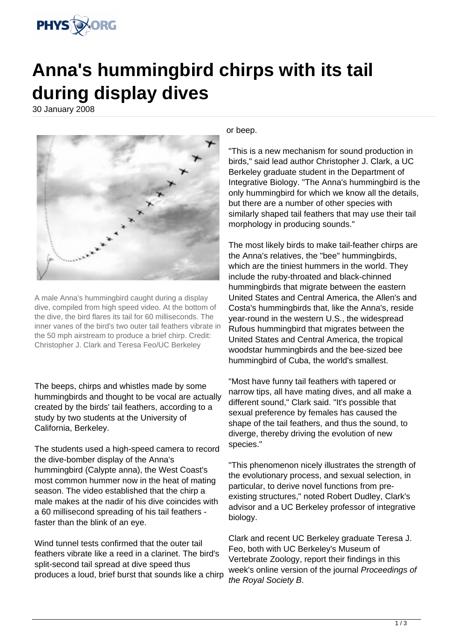

## **Anna's hummingbird chirps with its tail during display dives**

30 January 2008



A male Anna's hummingbird caught during a display dive, compiled from high speed video. At the bottom of the dive, the bird flares its tail for 60 milliseconds. The inner vanes of the bird's two outer tail feathers vibrate in the 50 mph airstream to produce a brief chirp. Credit: Christopher J. Clark and Teresa Feo/UC Berkeley

The beeps, chirps and whistles made by some hummingbirds and thought to be vocal are actually created by the birds' tail feathers, according to a study by two students at the University of California, Berkeley.

The students used a high-speed camera to record the dive-bomber display of the Anna's hummingbird (Calypte anna), the West Coast's most common hummer now in the heat of mating season. The video established that the chirp a male makes at the nadir of his dive coincides with a 60 millisecond spreading of his tail feathers faster than the blink of an eye.

Wind tunnel tests confirmed that the outer tail feathers vibrate like a reed in a clarinet. The bird's split-second tail spread at dive speed thus produces a loud, brief burst that sounds like a chirp

or beep.

"This is a new mechanism for sound production in birds," said lead author Christopher J. Clark, a UC Berkeley graduate student in the Department of Integrative Biology. "The Anna's hummingbird is the only hummingbird for which we know all the details, but there are a number of other species with similarly shaped tail feathers that may use their tail morphology in producing sounds."

The most likely birds to make tail-feather chirps are the Anna's relatives, the "bee" hummingbirds, which are the tiniest hummers in the world. They include the ruby-throated and black-chinned hummingbirds that migrate between the eastern United States and Central America, the Allen's and Costa's hummingbirds that, like the Anna's, reside year-round in the western U.S., the widespread Rufous hummingbird that migrates between the United States and Central America, the tropical woodstar hummingbirds and the bee-sized bee hummingbird of Cuba, the world's smallest.

"Most have funny tail feathers with tapered or narrow tips, all have mating dives, and all make a different sound," Clark said. "It's possible that sexual preference by females has caused the shape of the tail feathers, and thus the sound, to diverge, thereby driving the evolution of new species."

"This phenomenon nicely illustrates the strength of the evolutionary process, and sexual selection, in particular, to derive novel functions from preexisting structures," noted Robert Dudley, Clark's advisor and a UC Berkeley professor of integrative biology.

Clark and recent UC Berkeley graduate Teresa J. Feo, both with UC Berkeley's Museum of Vertebrate Zoology, report their findings in this week's online version of the journal Proceedings of the Royal Society B.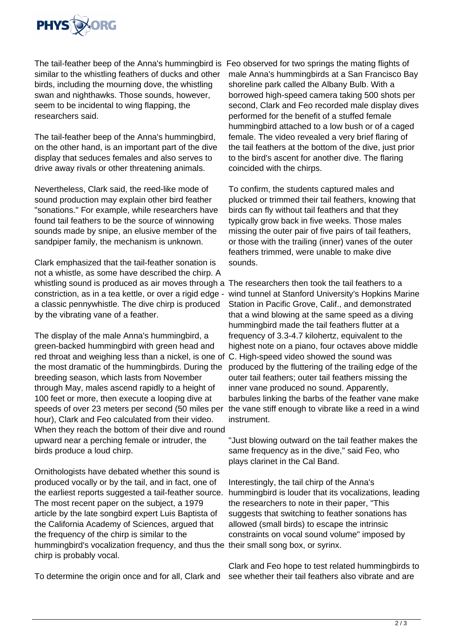

The tail-feather beep of the Anna's hummingbird is Feo observed for two springs the mating flights of similar to the whistling feathers of ducks and other birds, including the mourning dove, the whistling swan and nighthawks. Those sounds, however, seem to be incidental to wing flapping, the researchers said.

The tail-feather beep of the Anna's hummingbird, on the other hand, is an important part of the dive display that seduces females and also serves to drive away rivals or other threatening animals.

Nevertheless, Clark said, the reed-like mode of sound production may explain other bird feather "sonations." For example, while researchers have found tail feathers to be the source of winnowing sounds made by snipe, an elusive member of the sandpiper family, the mechanism is unknown.

Clark emphasized that the tail-feather sonation is not a whistle, as some have described the chirp. A whistling sound is produced as air moves through a The researchers then took the tail feathers to a constriction, as in a tea kettle, or over a rigid edge a classic pennywhistle. The dive chirp is produced by the vibrating vane of a feather.

The display of the male Anna's hummingbird, a green-backed hummingbird with green head and red throat and weighing less than a nickel, is one of the most dramatic of the hummingbirds. During the breeding season, which lasts from November through May, males ascend rapidly to a height of 100 feet or more, then execute a looping dive at speeds of over 23 meters per second (50 miles per hour), Clark and Feo calculated from their video. When they reach the bottom of their dive and round upward near a perching female or intruder, the birds produce a loud chirp.

Ornithologists have debated whether this sound is produced vocally or by the tail, and in fact, one of the earliest reports suggested a tail-feather source. The most recent paper on the subject, a 1979 article by the late songbird expert Luis Baptista of the California Academy of Sciences, argued that the frequency of the chirp is similar to the hummingbird's vocalization frequency, and thus the their small song box, or syrinx. chirp is probably vocal.

To determine the origin once and for all, Clark and see whether their tail feathers also vibrate and are

male Anna's hummingbirds at a San Francisco Bay shoreline park called the Albany Bulb. With a borrowed high-speed camera taking 500 shots per second, Clark and Feo recorded male display dives performed for the benefit of a stuffed female hummingbird attached to a low bush or of a caged female. The video revealed a very brief flaring of the tail feathers at the bottom of the dive, just prior to the bird's ascent for another dive. The flaring coincided with the chirps.

To confirm, the students captured males and plucked or trimmed their tail feathers, knowing that birds can fly without tail feathers and that they typically grow back in five weeks. Those males missing the outer pair of five pairs of tail feathers, or those with the trailing (inner) vanes of the outer feathers trimmed, were unable to make dive sounds.

wind tunnel at Stanford University's Hopkins Marine Station in Pacific Grove, Calif., and demonstrated that a wind blowing at the same speed as a diving hummingbird made the tail feathers flutter at a frequency of 3.3-4.7 kilohertz, equivalent to the highest note on a piano, four octaves above middle C. High-speed video showed the sound was produced by the fluttering of the trailing edge of the outer tail feathers; outer tail feathers missing the inner vane produced no sound. Apparently, barbules linking the barbs of the feather vane make the vane stiff enough to vibrate like a reed in a wind instrument.

"Just blowing outward on the tail feather makes the same frequency as in the dive," said Feo, who plays clarinet in the Cal Band.

Interestingly, the tail chirp of the Anna's hummingbird is louder that its vocalizations, leading the researchers to note in their paper, "This suggests that switching to feather sonations has allowed (small birds) to escape the intrinsic constraints on vocal sound volume" imposed by

Clark and Feo hope to test related hummingbirds to